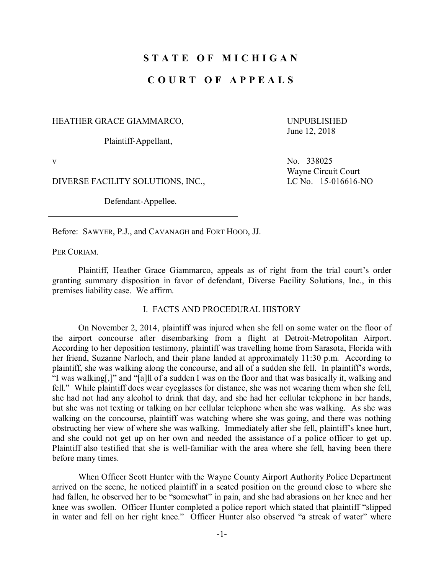# **S T A T E O F M I C H I G A N**

## **C O U R T O F A P P E A L S**

HEATHER GRACE GIAMMARCO,

Plaintiff-Appellant,

UNPUBLISHED June 12, 2018

DIVERSE FACILITY SOLUTIONS, INC., LC No. 15-016616-NO

Defendant-Appellee.

v No. 338025 Wayne Circuit Court

Before: SAWYER, P.J., and CAVANAGH and FORT HOOD, JJ.

PER CURIAM.

Plaintiff, Heather Grace Giammarco, appeals as of right from the trial court's order granting summary disposition in favor of defendant, Diverse Facility Solutions, Inc., in this premises liability case. We affirm.

#### I. FACTS AND PROCEDURAL HISTORY

On November 2, 2014, plaintiff was injured when she fell on some water on the floor of the airport concourse after disembarking from a flight at Detroit-Metropolitan Airport. According to her deposition testimony, plaintiff was travelling home from Sarasota, Florida with her friend, Suzanne Narloch, and their plane landed at approximately 11:30 p.m. According to plaintiff, she was walking along the concourse, and all of a sudden she fell. In plaintiff's words, "I was walking[,]" and "[a]ll of a sudden I was on the floor and that was basically it, walking and fell." While plaintiff does wear eyeglasses for distance, she was not wearing them when she fell, she had not had any alcohol to drink that day, and she had her cellular telephone in her hands, but she was not texting or talking on her cellular telephone when she was walking. As she was walking on the concourse, plaintiff was watching where she was going, and there was nothing obstructing her view of where she was walking. Immediately after she fell, plaintiff's knee hurt, and she could not get up on her own and needed the assistance of a police officer to get up. Plaintiff also testified that she is well-familiar with the area where she fell, having been there before many times.

When Officer Scott Hunter with the Wayne County Airport Authority Police Department arrived on the scene, he noticed plaintiff in a seated position on the ground close to where she had fallen, he observed her to be "somewhat" in pain, and she had abrasions on her knee and her knee was swollen. Officer Hunter completed a police report which stated that plaintiff "slipped in water and fell on her right knee." Officer Hunter also observed "a streak of water" where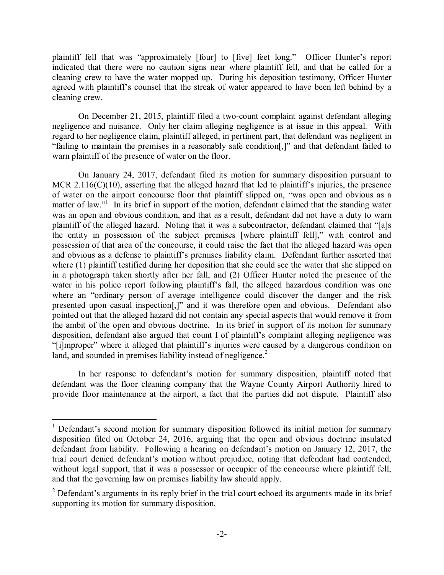plaintiff fell that was "approximately [four] to [five] feet long." Officer Hunter's report indicated that there were no caution signs near where plaintiff fell, and that he called for a cleaning crew to have the water mopped up. During his deposition testimony, Officer Hunter agreed with plaintiff's counsel that the streak of water appeared to have been left behind by a cleaning crew.

On December 21, 2015, plaintiff filed a two-count complaint against defendant alleging negligence and nuisance. Only her claim alleging negligence is at issue in this appeal. With regard to her negligence claim, plaintiff alleged, in pertinent part, that defendant was negligent in "failing to maintain the premises in a reasonably safe condition[,]" and that defendant failed to warn plaintiff of the presence of water on the floor.

On January 24, 2017, defendant filed its motion for summary disposition pursuant to MCR 2.116(C)(10), asserting that the alleged hazard that led to plaintiff's injuries, the presence of water on the airport concourse floor that plaintiff slipped on, "was open and obvious as a matter of law."<sup>1</sup> In its brief in support of the motion, defendant claimed that the standing water was an open and obvious condition, and that as a result, defendant did not have a duty to warn plaintiff of the alleged hazard. Noting that it was a subcontractor, defendant claimed that "[a]s the entity in possession of the subject premises [where plaintiff fell]," with control and possession of that area of the concourse, it could raise the fact that the alleged hazard was open and obvious as a defense to plaintiff's premises liability claim. Defendant further asserted that where (1) plaintiff testified during her deposition that she could see the water that she slipped on in a photograph taken shortly after her fall, and (2) Officer Hunter noted the presence of the water in his police report following plaintiff's fall, the alleged hazardous condition was one where an "ordinary person of average intelligence could discover the danger and the risk presented upon casual inspection[,]" and it was therefore open and obvious. Defendant also pointed out that the alleged hazard did not contain any special aspects that would remove it from the ambit of the open and obvious doctrine. In its brief in support of its motion for summary disposition, defendant also argued that count I of plaintiff's complaint alleging negligence was "[i]mproper" where it alleged that plaintiff's injuries were caused by a dangerous condition on land, and sounded in premises liability instead of negligence.<sup>2</sup>

In her response to defendant's motion for summary disposition, plaintiff noted that defendant was the floor cleaning company that the Wayne County Airport Authority hired to provide floor maintenance at the airport, a fact that the parties did not dispute. Plaintiff also

 $1$  Defendant's second motion for summary disposition followed its initial motion for summary disposition filed on October 24, 2016, arguing that the open and obvious doctrine insulated defendant from liability. Following a hearing on defendant's motion on January 12, 2017, the trial court denied defendant's motion without prejudice, noting that defendant had contended, without legal support, that it was a possessor or occupier of the concourse where plaintiff fell, and that the governing law on premises liability law should apply.

 $2$  Defendant's arguments in its reply brief in the trial court echoed its arguments made in its brief supporting its motion for summary disposition.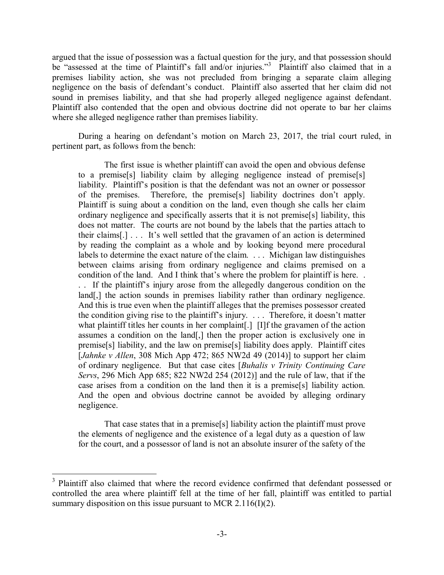argued that the issue of possession was a factual question for the jury, and that possession should be "assessed at the time of Plaintiff's fall and/or injuries."<sup>3</sup> Plaintiff also claimed that in a premises liability action, she was not precluded from bringing a separate claim alleging negligence on the basis of defendant's conduct. Plaintiff also asserted that her claim did not sound in premises liability, and that she had properly alleged negligence against defendant. Plaintiff also contended that the open and obvious doctrine did not operate to bar her claims where she alleged negligence rather than premises liability.

During a hearing on defendant's motion on March 23, 2017, the trial court ruled, in pertinent part, as follows from the bench:

The first issue is whether plaintiff can avoid the open and obvious defense to a premise[s] liability claim by alleging negligence instead of premise[s] liability. Plaintiff's position is that the defendant was not an owner or possessor of the premises. Therefore, the premise[s] liability doctrines don't apply. Plaintiff is suing about a condition on the land, even though she calls her claim ordinary negligence and specifically asserts that it is not premise[s] liability, this does not matter. The courts are not bound by the labels that the parties attach to their claims[.] . . . It's well settled that the gravamen of an action is determined by reading the complaint as a whole and by looking beyond mere procedural labels to determine the exact nature of the claim. . . . Michigan law distinguishes between claims arising from ordinary negligence and claims premised on a condition of the land. And I think that's where the problem for plaintiff is here. .

. . If the plaintiff's injury arose from the allegedly dangerous condition on the land[,] the action sounds in premises liability rather than ordinary negligence. And this is true even when the plaintiff alleges that the premises possessor created the condition giving rise to the plaintiff's injury. . . . Therefore, it doesn't matter what plaintiff titles her counts in her complaint[.] [I]f the gravamen of the action assumes a condition on the land[,] then the proper action is exclusively one in premise[s] liability, and the law on premise[s] liability does apply. Plaintiff cites [*Jahnke v Allen*, 308 Mich App 472; 865 NW2d 49 (2014)] to support her claim of ordinary negligence. But that case cites [*Buhalis v Trinity Continuing Care Servs*, 296 Mich App 685; 822 NW2d 254 (2012)] and the rule of law, that if the case arises from a condition on the land then it is a premise[s] liability action. And the open and obvious doctrine cannot be avoided by alleging ordinary negligence.

That case states that in a premise[s] liability action the plaintiff must prove the elements of negligence and the existence of a legal duty as a question of law for the court, and a possessor of land is not an absolute insurer of the safety of the

Plaintiff also claimed that where the record evidence confirmed that defendant possessed or controlled the area where plaintiff fell at the time of her fall, plaintiff was entitled to partial summary disposition on this issue pursuant to MCR 2.116(I)(2).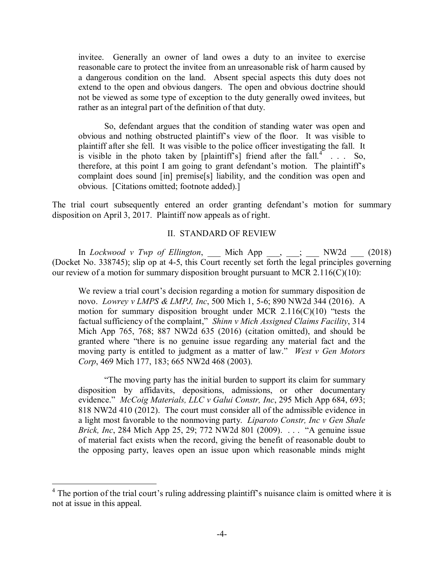invitee. Generally an owner of land owes a duty to an invitee to exercise reasonable care to protect the invitee from an unreasonable risk of harm caused by a dangerous condition on the land. Absent special aspects this duty does not extend to the open and obvious dangers. The open and obvious doctrine should not be viewed as some type of exception to the duty generally owed invitees, but rather as an integral part of the definition of that duty.

So, defendant argues that the condition of standing water was open and obvious and nothing obstructed plaintiff's view of the floor. It was visible to plaintiff after she fell. It was visible to the police officer investigating the fall. It is visible in the photo taken by [plaintiff's] friend after the fall.<sup>4</sup>  $\ldots$  So, therefore, at this point I am going to grant defendant's motion. The plaintiff's complaint does sound [in] premise[s] liability, and the condition was open and obvious. [Citations omitted; footnote added).]

The trial court subsequently entered an order granting defendant's motion for summary disposition on April 3, 2017. Plaintiff now appeals as of right.

### II. STANDARD OF REVIEW

In *Lockwood v Twp of Ellington*, \_\_\_ Mich App \_\_\_, \_\_\_; \_\_\_ NW2d \_\_\_ (2018) (Docket No. 338745); slip op at 4-5, this Court recently set forth the legal principles governing our review of a motion for summary disposition brought pursuant to MCR 2.116(C)(10):

We review a trial court's decision regarding a motion for summary disposition de novo. *Lowrey v LMPS & LMPJ, Inc*, 500 Mich 1, 5-6; 890 NW2d 344 (2016). A motion for summary disposition brought under MCR  $2.116(C)(10)$  "tests the factual sufficiency of the complaint," *Shinn v Mich Assigned Claims Facility*, 314 Mich App 765, 768; 887 NW2d 635 (2016) (citation omitted), and should be granted where "there is no genuine issue regarding any material fact and the moving party is entitled to judgment as a matter of law." *West v Gen Motors Corp*, 469 Mich 177, 183; 665 NW2d 468 (2003).

"The moving party has the initial burden to support its claim for summary disposition by affidavits, depositions, admissions, or other documentary evidence." *McCoig Materials, LLC v Galui Constr, Inc*, 295 Mich App 684, 693; 818 NW2d 410 (2012). The court must consider all of the admissible evidence in a light most favorable to the nonmoving party. *Liparoto Constr, Inc v Gen Shale Brick, Inc.* 284 Mich App 25, 29; 772 NW2d 801 (2009). . . . "A genuine issue of material fact exists when the record, giving the benefit of reasonable doubt to the opposing party, leaves open an issue upon which reasonable minds might

 $<sup>4</sup>$  The portion of the trial court's ruling addressing plaintiff's nuisance claim is omitted where it is</sup> not at issue in this appeal.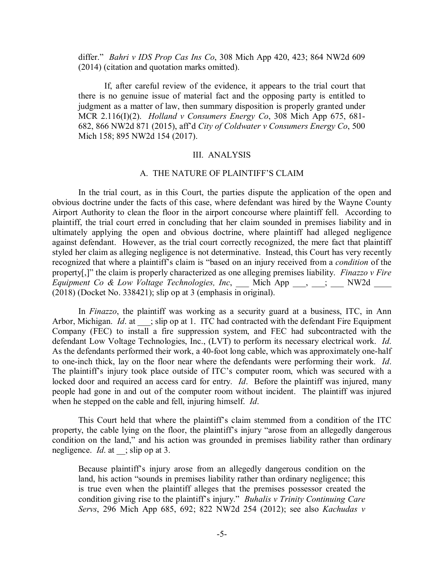differ." *Bahri v IDS Prop Cas Ins Co*, 308 Mich App 420, 423; 864 NW2d 609 (2014) (citation and quotation marks omitted).

If, after careful review of the evidence, it appears to the trial court that there is no genuine issue of material fact and the opposing party is entitled to judgment as a matter of law, then summary disposition is properly granted under MCR 2.116(I)(2). *Holland v Consumers Energy Co*, 308 Mich App 675, 681- 682, 866 NW2d 871 (2015), aff'd *City of Coldwater v Consumers Energy Co*, 500 Mich 158; 895 NW2d 154 (2017).

### III. ANALYSIS

### A. THE NATURE OF PLAINTIFF'S CLAIM

In the trial court, as in this Court, the parties dispute the application of the open and obvious doctrine under the facts of this case, where defendant was hired by the Wayne County Airport Authority to clean the floor in the airport concourse where plaintiff fell. According to plaintiff, the trial court erred in concluding that her claim sounded in premises liability and in ultimately applying the open and obvious doctrine, where plaintiff had alleged negligence against defendant. However, as the trial court correctly recognized, the mere fact that plaintiff styled her claim as alleging negligence is not determinative. Instead, this Court has very recently recognized that where a plaintiff's claim is "based on an injury received from a *condition* of the property[,]" the claim is properly characterized as one alleging premises liability. *Finazzo v Fire Equipment Co & Low Voltage Technologies, Inc*, Mich App \_\_\_, \_\_; \_\_\_ NW2d (2018) (Docket No. 338421); slip op at 3 (emphasis in original).

In *Finazzo*, the plaintiff was working as a security guard at a business, ITC, in Ann Arbor, Michigan. *Id.* at ; slip op at 1. ITC had contracted with the defendant Fire Equipment Company (FEC) to install a fire suppression system, and FEC had subcontracted with the defendant Low Voltage Technologies, Inc., (LVT) to perform its necessary electrical work. *Id*. As the defendants performed their work, a 40-foot long cable, which was approximately one-half to one-inch thick, lay on the floor near where the defendants were performing their work. *Id*. The plaintiff's injury took place outside of ITC's computer room, which was secured with a locked door and required an access card for entry. *Id*. Before the plaintiff was injured, many people had gone in and out of the computer room without incident. The plaintiff was injured when he stepped on the cable and fell, injuring himself. *Id*.

This Court held that where the plaintiff's claim stemmed from a condition of the ITC property, the cable lying on the floor, the plaintiff's injury "arose from an allegedly dangerous condition on the land," and his action was grounded in premises liability rather than ordinary negligence. *Id*. at \_\_; slip op at 3.

Because plaintiff's injury arose from an allegedly dangerous condition on the land, his action "sounds in premises liability rather than ordinary negligence; this is true even when the plaintiff alleges that the premises possessor created the condition giving rise to the plaintiff's injury." *Buhalis v Trinity Continuing Care Servs*, 296 Mich App 685, 692; 822 NW2d 254 (2012); see also *Kachudas v*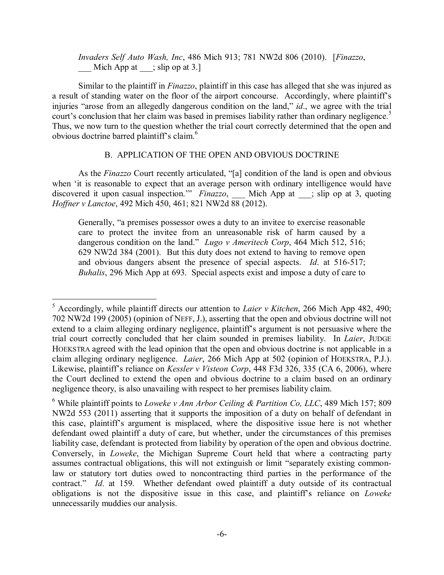*Invaders Self Auto Wash, Inc*, 486 Mich 913; 781 NW2d 806 (2010). [*Finazzo*, Mich App at  $\therefore$  slip op at 3.]

Similar to the plaintiff in *Finazzo*, plaintiff in this case has alleged that she was injured as a result of standing water on the floor of the airport concourse. Accordingly, where plaintiff's injuries "arose from an allegedly dangerous condition on the land," *id*., we agree with the trial court's conclusion that her claim was based in premises liability rather than ordinary negligence.<sup>5</sup> Thus, we now turn to the question whether the trial court correctly determined that the open and obvious doctrine barred plaintiff's claim.<sup>6</sup>

## B. APPLICATION OF THE OPEN AND OBVIOUS DOCTRINE

As the *Finazzo* Court recently articulated, "[a] condition of the land is open and obvious when 'it is reasonable to expect that an average person with ordinary intelligence would have discovered it upon casual inspection.'" *Finazzo*, Mich App at ; slip op at 3, quoting *Hoffner v Lanctoe*, 492 Mich 450, 461; 821 NW2d 88 (2012).

Generally, "a premises possessor owes a duty to an invitee to exercise reasonable care to protect the invitee from an unreasonable risk of harm caused by a dangerous condition on the land." *Lugo v Ameritech Corp*, 464 Mich 512, 516; 629 NW2d 384 (2001). But this duty does not extend to having to remove open and obvious dangers absent the presence of special aspects. *Id*. at 516-517; *Buhalis*, 296 Mich App at 693. Special aspects exist and impose a duty of care to

 <sup>5</sup> Accordingly, while plaintiff directs our attention to *Laier v Kitchen*, 266 Mich App 482, 490; 702 NW2d 199 (2005) (opinion of NEFF, J.), asserting that the open and obvious doctrine will not extend to a claim alleging ordinary negligence, plaintiff's argument is not persuasive where the trial court correctly concluded that her claim sounded in premises liability. In *Laier*, JUDGE HOEKSTRA agreed with the lead opinion that the open and obvious doctrine is not applicable in a claim alleging ordinary negligence. *Laier*, 266 Mich App at 502 (opinion of HOEKSTRA, P.J.). Likewise, plaintiff's reliance on *Kessler v Visteon Corp*, 448 F3d 326, 335 (CA 6, 2006), where the Court declined to extend the open and obvious doctrine to a claim based on an ordinary negligence theory, is also unavailing with respect to her premises liability claim.

<sup>6</sup> While plaintiff points to *Loweke v Ann Arbor Ceiling & Partition Co, LLC*, 489 Mich 157; 809 NW2d 553 (2011) asserting that it supports the imposition of a duty on behalf of defendant in this case, plaintiff's argument is misplaced, where the dispositive issue here is not whether defendant owed plaintiff a duty of care, but whether, under the circumstances of this premises liability case, defendant is protected from liability by operation of the open and obvious doctrine. Conversely, in *Loweke*, the Michigan Supreme Court held that where a contracting party assumes contractual obligations, this will not extinguish or limit "separately existing commonlaw or statutory tort duties owed to noncontracting third parties in the performance of the contract." *Id.* at 159. Whether defendant owed plaintiff a duty outside of its contractual obligations is not the dispositive issue in this case, and plaintiff's reliance on *Loweke* unnecessarily muddies our analysis.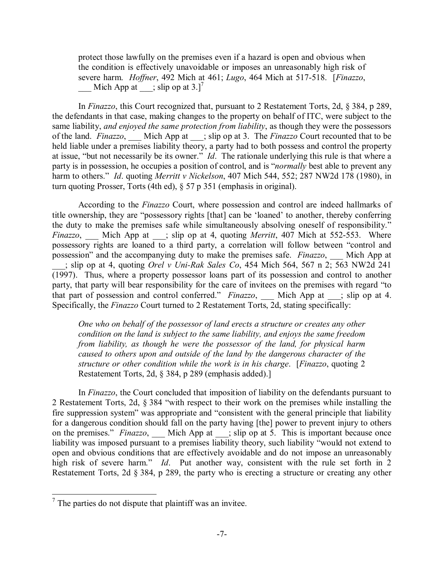protect those lawfully on the premises even if a hazard is open and obvious when the condition is effectively unavoidable or imposes an unreasonably high risk of severe harm. *Hoffner*, 492 Mich at 461; *Lugo*, 464 Mich at 517-518. [*Finazzo*,  $\qquad$  Mich App at  $\qquad$ ; slip op at 3.]<sup>7</sup>

In *Finazzo*, this Court recognized that, pursuant to 2 Restatement Torts, 2d, § 384, p 289, the defendants in that case, making changes to the property on behalf of ITC, were subject to the same liability, *and enjoyed the same protection from liability*, as though they were the possessors of the land. *Finazzo*, Mich App at ; slip op at 3. The *Finazzo* Court recounted that to be held liable under a premises liability theory, a party had to both possess and control the property at issue, "but not necessarily be its owner." *Id*. The rationale underlying this rule is that where a party is in possession, he occupies a position of control, and is "*normally* best able to prevent any harm to others." *Id*. quoting *Merritt v Nickelson*, 407 Mich 544, 552; 287 NW2d 178 (1980), in turn quoting Prosser, Torts (4th ed), § 57 p 351 (emphasis in original).

According to the *Finazzo* Court, where possession and control are indeed hallmarks of title ownership, they are "possessory rights [that] can be 'loaned' to another, thereby conferring the duty to make the premises safe while simultaneously absolving oneself of responsibility." *Finazzo*, Mich App at ; slip op at 4, quoting *Merritt*, 407 Mich at 552-553. Where possessory rights are loaned to a third party, a correlation will follow between "control and possession" and the accompanying duty to make the premises safe. *Finazzo*, \_\_\_ Mich App at \_\_\_; slip op at 4, quoting *Orel v Uni-Rak Sales Co*, 454 Mich 564, 567 n 2; 563 NW2d 241 (1997). Thus, where a property possessor loans part of its possession and control to another party, that party will bear responsibility for the care of invitees on the premises with regard "to that part of possession and control conferred." *Finazzo*, Mich App at ; slip op at 4. Specifically, the *Finazzo* Court turned to 2 Restatement Torts, 2d, stating specifically:

*One who on behalf of the possessor of land erects a structure or creates any other condition on the land is subject to the same liability, and enjoys the same freedom from liability, as though he were the possessor of the land, for physical harm caused to others upon and outside of the land by the dangerous character of the structure or other condition while the work is in his charge*. [*Finazzo*, quoting 2 Restatement Torts, 2d, § 384, p 289 (emphasis added).]

In *Finazzo*, the Court concluded that imposition of liability on the defendants pursuant to 2 Restatement Torts, 2d, § 384 "with respect to their work on the premises while installing the fire suppression system" was appropriate and "consistent with the general principle that liability for a dangerous condition should fall on the party having [the] power to prevent injury to others on the premises." *Finazzo*, Mich App at \_\_; slip op at 5. This is important because once liability was imposed pursuant to a premises liability theory, such liability "would not extend to open and obvious conditions that are effectively avoidable and do not impose an unreasonably high risk of severe harm." *Id*. Put another way, consistent with the rule set forth in 2 Restatement Torts, 2d § 384, p 289, the party who is erecting a structure or creating any other

 $7$  The parties do not dispute that plaintiff was an invitee.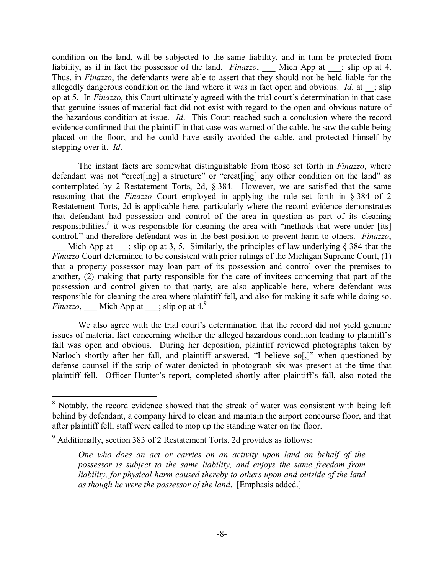condition on the land, will be subjected to the same liability, and in turn be protected from liability, as if in fact the possessor of the land. *Finazzo*, \_\_\_ Mich App at \_\_\_; slip op at 4. Thus, in *Finazzo*, the defendants were able to assert that they should not be held liable for the allegedly dangerous condition on the land where it was in fact open and obvious. *Id*. at ; slip op at 5. In *Finazzo*, this Court ultimately agreed with the trial court's determination in that case that genuine issues of material fact did not exist with regard to the open and obvious nature of the hazardous condition at issue. *Id*. This Court reached such a conclusion where the record evidence confirmed that the plaintiff in that case was warned of the cable, he saw the cable being placed on the floor, and he could have easily avoided the cable, and protected himself by stepping over it. *Id*.

The instant facts are somewhat distinguishable from those set forth in *Finazzo*, where defendant was not "erect[ing] a structure" or "creat[ing] any other condition on the land" as contemplated by 2 Restatement Torts, 2d, § 384. However, we are satisfied that the same reasoning that the *Finazzo* Court employed in applying the rule set forth in § 384 of 2 Restatement Torts, 2d is applicable here, particularly where the record evidence demonstrates that defendant had possession and control of the area in question as part of its cleaning responsibilities, $\frac{8}{3}$  it was responsible for cleaning the area with "methods that were under [its] control," and therefore defendant was in the best position to prevent harm to others. *Finazzo*, Mich App at  $\cdot$ ; slip op at 3, 5. Similarly, the principles of law underlying § 384 that the *Finazzo* Court determined to be consistent with prior rulings of the Michigan Supreme Court, (1) that a property possessor may loan part of its possession and control over the premises to another, (2) making that party responsible for the care of invitees concerning that part of the possession and control given to that party, are also applicable here, where defendant was responsible for cleaning the area where plaintiff fell, and also for making it safe while doing so. *Finazzo*, <u></u> Mich App at  $\equiv$ ; slip op at 4.<sup>9</sup>

We also agree with the trial court's determination that the record did not yield genuine issues of material fact concerning whether the alleged hazardous condition leading to plaintiff's fall was open and obvious. During her deposition, plaintiff reviewed photographs taken by Narloch shortly after her fall, and plaintiff answered, "I believe so[,]" when questioned by defense counsel if the strip of water depicted in photograph six was present at the time that plaintiff fell. Officer Hunter's report, completed shortly after plaintiff's fall, also noted the

<sup>&</sup>lt;sup>8</sup> Notably, the record evidence showed that the streak of water was consistent with being left behind by defendant, a company hired to clean and maintain the airport concourse floor, and that after plaintiff fell, staff were called to mop up the standing water on the floor.

<sup>&</sup>lt;sup>9</sup> Additionally, section 383 of 2 Restatement Torts, 2d provides as follows:

*One who does an act or carries on an activity upon land on behalf of the possessor is subject to the same liability, and enjoys the same freedom from liability, for physical harm caused thereby to others upon and outside of the land as though he were the possessor of the land*. [Emphasis added.]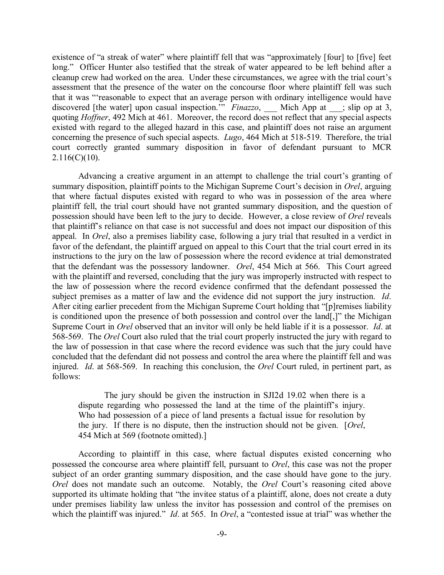existence of "a streak of water" where plaintiff fell that was "approximately [four] to [five] feet long." Officer Hunter also testified that the streak of water appeared to be left behind after a cleanup crew had worked on the area. Under these circumstances, we agree with the trial court's assessment that the presence of the water on the concourse floor where plaintiff fell was such that it was "'reasonable to expect that an average person with ordinary intelligence would have discovered [the water] upon casual inspection.<sup>""</sup> *Finazzo*, \_\_\_ Mich App at \_\_; slip op at 3, quoting *Hoffner*, 492 Mich at 461. Moreover, the record does not reflect that any special aspects existed with regard to the alleged hazard in this case, and plaintiff does not raise an argument concerning the presence of such special aspects. *Lugo*, 464 Mich at 518-519. Therefore, the trial court correctly granted summary disposition in favor of defendant pursuant to MCR  $2.116(C)(10)$ .

Advancing a creative argument in an attempt to challenge the trial court's granting of summary disposition, plaintiff points to the Michigan Supreme Court's decision in *Orel*, arguing that where factual disputes existed with regard to who was in possession of the area where plaintiff fell, the trial court should have not granted summary disposition, and the question of possession should have been left to the jury to decide. However, a close review of *Orel* reveals that plaintiff's reliance on that case is not successful and does not impact our disposition of this appeal. In *Orel*, also a premises liability case, following a jury trial that resulted in a verdict in favor of the defendant, the plaintiff argued on appeal to this Court that the trial court erred in its instructions to the jury on the law of possession where the record evidence at trial demonstrated that the defendant was the possessory landowner. *Orel*, 454 Mich at 566. This Court agreed with the plaintiff and reversed, concluding that the jury was improperly instructed with respect to the law of possession where the record evidence confirmed that the defendant possessed the subject premises as a matter of law and the evidence did not support the jury instruction. *Id*. After citing earlier precedent from the Michigan Supreme Court holding that "[p]remises liability is conditioned upon the presence of both possession and control over the land[,]" the Michigan Supreme Court in *Orel* observed that an invitor will only be held liable if it is a possessor. *Id*. at 568-569. The *Orel* Court also ruled that the trial court properly instructed the jury with regard to the law of possession in that case where the record evidence was such that the jury could have concluded that the defendant did not possess and control the area where the plaintiff fell and was injured. *Id*. at 568-569. In reaching this conclusion, the *Orel* Court ruled, in pertinent part, as follows:

The jury should be given the instruction in SJI2d 19.02 when there is a dispute regarding who possessed the land at the time of the plaintiff's injury. Who had possession of a piece of land presents a factual issue for resolution by the jury. If there is no dispute, then the instruction should not be given. [*Orel*, 454 Mich at 569 (footnote omitted).]

According to plaintiff in this case, where factual disputes existed concerning who possessed the concourse area where plaintiff fell, pursuant to *Orel*, this case was not the proper subject of an order granting summary disposition, and the case should have gone to the jury. *Orel* does not mandate such an outcome. Notably, the *Orel* Court's reasoning cited above supported its ultimate holding that "the invitee status of a plaintiff, alone, does not create a duty under premises liability law unless the invitor has possession and control of the premises on which the plaintiff was injured." *Id.* at 565. In *Orel*, a "contested issue at trial" was whether the